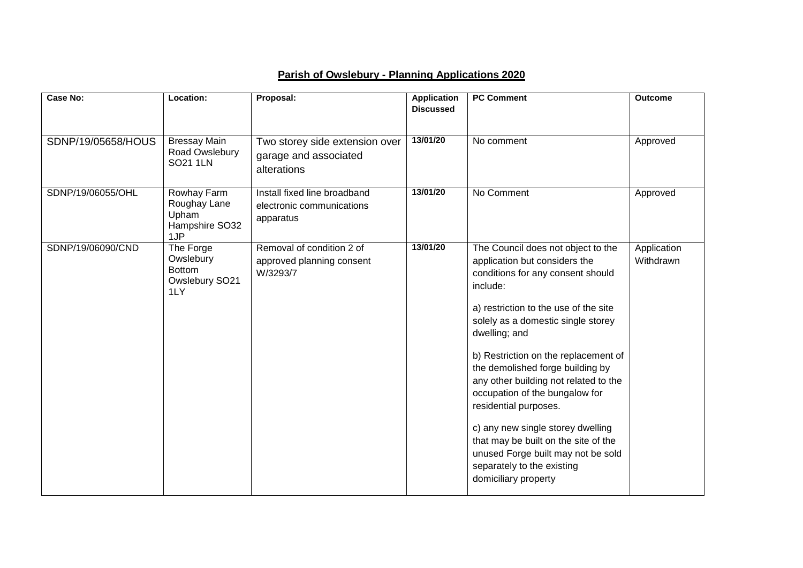## **Parish of Owslebury - Planning Applications 2020**

| <b>Case No:</b>    | Location:                                                        | Proposal:                                                              | <b>Application</b><br><b>Discussed</b> | <b>PC Comment</b>                                                                                                                                                                                                                                                                                                                                                                                                                                                                                                                                                             | <b>Outcome</b>           |
|--------------------|------------------------------------------------------------------|------------------------------------------------------------------------|----------------------------------------|-------------------------------------------------------------------------------------------------------------------------------------------------------------------------------------------------------------------------------------------------------------------------------------------------------------------------------------------------------------------------------------------------------------------------------------------------------------------------------------------------------------------------------------------------------------------------------|--------------------------|
| SDNP/19/05658/HOUS | <b>Bressay Main</b><br>Road Owslebury<br><b>SO21 1LN</b>         | Two storey side extension over<br>garage and associated<br>alterations | 13/01/20                               | No comment                                                                                                                                                                                                                                                                                                                                                                                                                                                                                                                                                                    | Approved                 |
| SDNP/19/06055/OHL  | Rowhay Farm<br>Roughay Lane<br>Upham<br>Hampshire SO32<br>1JP    | Install fixed line broadband<br>electronic communications<br>apparatus | 13/01/20                               | No Comment                                                                                                                                                                                                                                                                                                                                                                                                                                                                                                                                                                    | Approved                 |
| SDNP/19/06090/CND  | The Forge<br>Owslebury<br><b>Bottom</b><br>Owslebury SO21<br>1LY | Removal of condition 2 of<br>approved planning consent<br>W/3293/7     | 13/01/20                               | The Council does not object to the<br>application but considers the<br>conditions for any consent should<br>include:<br>a) restriction to the use of the site<br>solely as a domestic single storey<br>dwelling; and<br>b) Restriction on the replacement of<br>the demolished forge building by<br>any other building not related to the<br>occupation of the bungalow for<br>residential purposes.<br>c) any new single storey dwelling<br>that may be built on the site of the<br>unused Forge built may not be sold<br>separately to the existing<br>domiciliary property | Application<br>Withdrawn |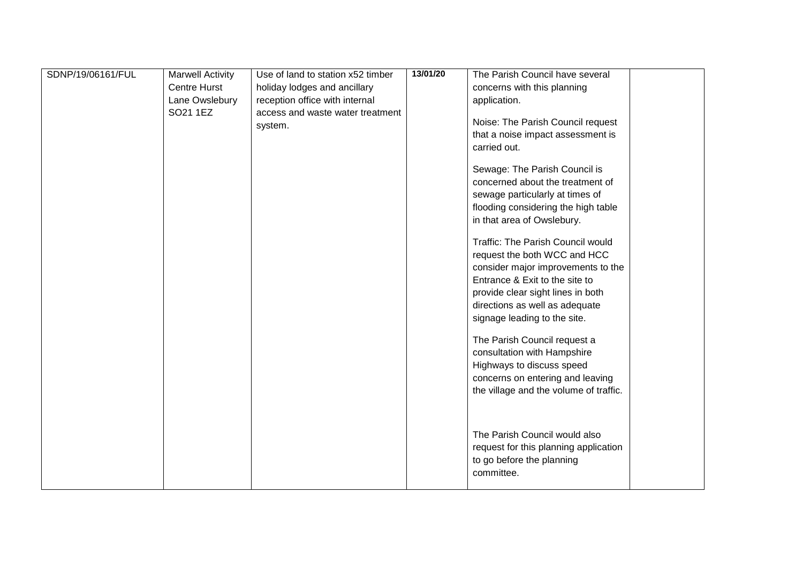| SDNP/19/06161/FUL | <b>Marwell Activity</b> | Use of land to station x52 timber | 13/01/20 | The Parish Council have several          |  |
|-------------------|-------------------------|-----------------------------------|----------|------------------------------------------|--|
|                   | <b>Centre Hurst</b>     | holiday lodges and ancillary      |          | concerns with this planning              |  |
|                   | Lane Owslebury          | reception office with internal    |          | application.                             |  |
|                   | SO21 1EZ                | access and waste water treatment  |          |                                          |  |
|                   |                         | system.                           |          | Noise: The Parish Council request        |  |
|                   |                         |                                   |          | that a noise impact assessment is        |  |
|                   |                         |                                   |          | carried out.                             |  |
|                   |                         |                                   |          | Sewage: The Parish Council is            |  |
|                   |                         |                                   |          | concerned about the treatment of         |  |
|                   |                         |                                   |          | sewage particularly at times of          |  |
|                   |                         |                                   |          | flooding considering the high table      |  |
|                   |                         |                                   |          | in that area of Owslebury.               |  |
|                   |                         |                                   |          | <b>Traffic: The Parish Council would</b> |  |
|                   |                         |                                   |          | request the both WCC and HCC             |  |
|                   |                         |                                   |          | consider major improvements to the       |  |
|                   |                         |                                   |          | Entrance & Exit to the site to           |  |
|                   |                         |                                   |          | provide clear sight lines in both        |  |
|                   |                         |                                   |          | directions as well as adequate           |  |
|                   |                         |                                   |          | signage leading to the site.             |  |
|                   |                         |                                   |          |                                          |  |
|                   |                         |                                   |          | The Parish Council request a             |  |
|                   |                         |                                   |          | consultation with Hampshire              |  |
|                   |                         |                                   |          | Highways to discuss speed                |  |
|                   |                         |                                   |          | concerns on entering and leaving         |  |
|                   |                         |                                   |          | the village and the volume of traffic.   |  |
|                   |                         |                                   |          |                                          |  |
|                   |                         |                                   |          | The Parish Council would also            |  |
|                   |                         |                                   |          | request for this planning application    |  |
|                   |                         |                                   |          | to go before the planning                |  |
|                   |                         |                                   |          | committee.                               |  |
|                   |                         |                                   |          |                                          |  |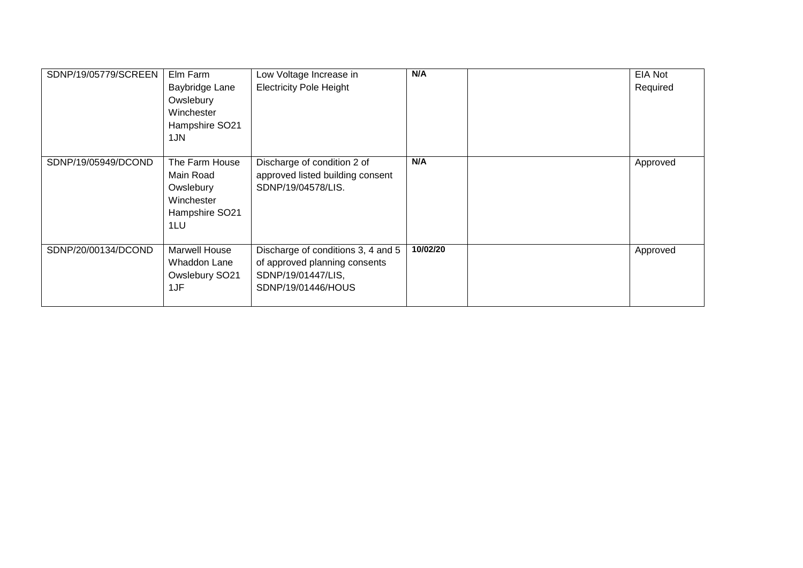| SDNP/19/05779/SCREEN | Elm Farm<br>Baybridge Lane<br>Owslebury<br>Winchester<br>Hampshire SO21         | Low Voltage Increase in<br><b>Electricity Pole Height</b>                                                       | N/A      | <b>EIA Not</b><br>Required |
|----------------------|---------------------------------------------------------------------------------|-----------------------------------------------------------------------------------------------------------------|----------|----------------------------|
|                      | 1JN                                                                             |                                                                                                                 |          |                            |
| SDNP/19/05949/DCOND  | The Farm House<br>Main Road<br>Owslebury<br>Winchester<br>Hampshire SO21<br>1LU | Discharge of condition 2 of<br>approved listed building consent<br>SDNP/19/04578/LIS.                           | N/A      | Approved                   |
| SDNP/20/00134/DCOND  | <b>Marwell House</b><br>Whaddon Lane<br>Owslebury SO21<br>1JF                   | Discharge of conditions 3, 4 and 5<br>of approved planning consents<br>SDNP/19/01447/LIS,<br>SDNP/19/01446/HOUS | 10/02/20 | Approved                   |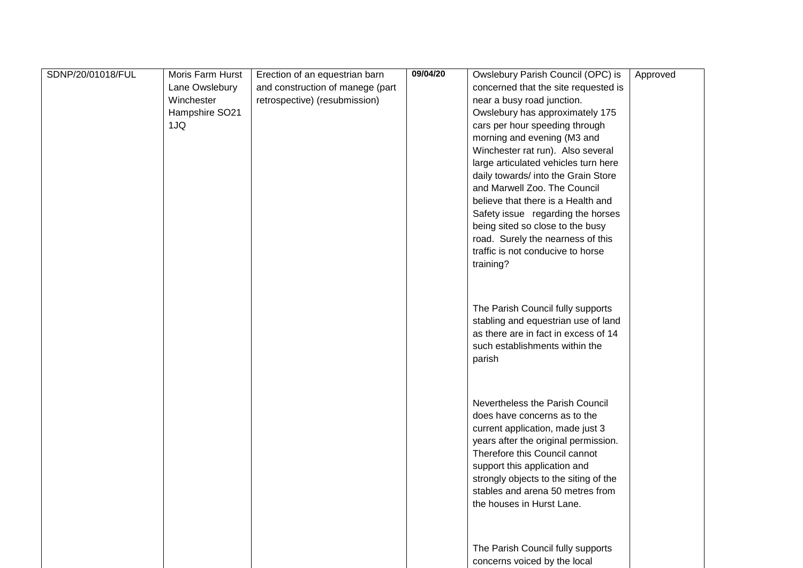| SDNP/20/01018/FUL | Moris Farm Hurst | Erection of an equestrian barn   | 09/04/20 | Owslebury Parish Council (OPC) is     | Approved |
|-------------------|------------------|----------------------------------|----------|---------------------------------------|----------|
|                   | Lane Owslebury   | and construction of manege (part |          | concerned that the site requested is  |          |
|                   | Winchester       | retrospective) (resubmission)    |          | near a busy road junction.            |          |
|                   | Hampshire SO21   |                                  |          | Owslebury has approximately 175       |          |
|                   | 1JQ              |                                  |          | cars per hour speeding through        |          |
|                   |                  |                                  |          | morning and evening (M3 and           |          |
|                   |                  |                                  |          | Winchester rat run). Also several     |          |
|                   |                  |                                  |          | large articulated vehicles turn here  |          |
|                   |                  |                                  |          | daily towards/ into the Grain Store   |          |
|                   |                  |                                  |          | and Marwell Zoo. The Council          |          |
|                   |                  |                                  |          | believe that there is a Health and    |          |
|                   |                  |                                  |          | Safety issue regarding the horses     |          |
|                   |                  |                                  |          | being sited so close to the busy      |          |
|                   |                  |                                  |          | road. Surely the nearness of this     |          |
|                   |                  |                                  |          | traffic is not conducive to horse     |          |
|                   |                  |                                  |          | training?                             |          |
|                   |                  |                                  |          |                                       |          |
|                   |                  |                                  |          |                                       |          |
|                   |                  |                                  |          | The Parish Council fully supports     |          |
|                   |                  |                                  |          | stabling and equestrian use of land   |          |
|                   |                  |                                  |          | as there are in fact in excess of 14  |          |
|                   |                  |                                  |          | such establishments within the        |          |
|                   |                  |                                  |          | parish                                |          |
|                   |                  |                                  |          |                                       |          |
|                   |                  |                                  |          |                                       |          |
|                   |                  |                                  |          |                                       |          |
|                   |                  |                                  |          | Nevertheless the Parish Council       |          |
|                   |                  |                                  |          | does have concerns as to the          |          |
|                   |                  |                                  |          | current application, made just 3      |          |
|                   |                  |                                  |          | years after the original permission.  |          |
|                   |                  |                                  |          | Therefore this Council cannot         |          |
|                   |                  |                                  |          | support this application and          |          |
|                   |                  |                                  |          | strongly objects to the siting of the |          |
|                   |                  |                                  |          | stables and arena 50 metres from      |          |
|                   |                  |                                  |          | the houses in Hurst Lane.             |          |
|                   |                  |                                  |          |                                       |          |
|                   |                  |                                  |          |                                       |          |
|                   |                  |                                  |          | The Parish Council fully supports     |          |
|                   |                  |                                  |          | concerns voiced by the local          |          |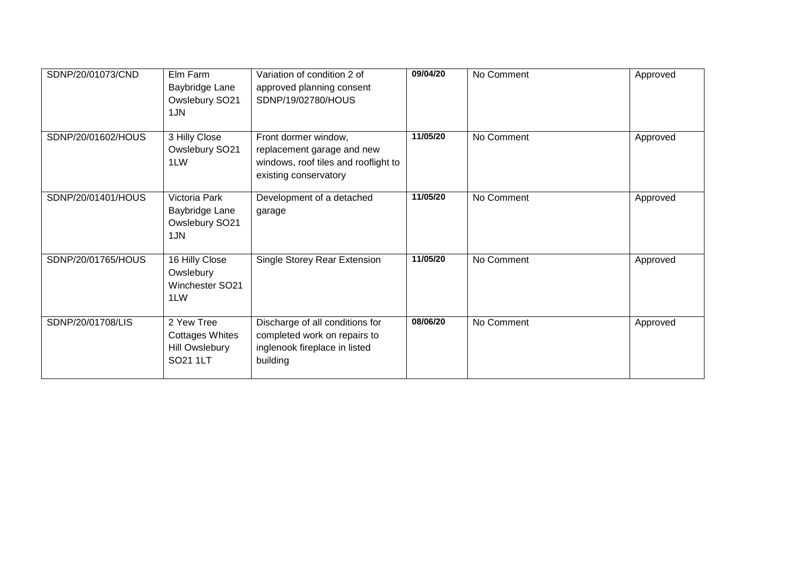| SDNP/20/01073/CND  | Elm Farm<br>Baybridge Lane<br>Owslebury SO21<br>1JN                | Variation of condition 2 of<br>approved planning consent<br>SDNP/19/02780/HOUS                                      | 09/04/20 | No Comment | Approved |
|--------------------|--------------------------------------------------------------------|---------------------------------------------------------------------------------------------------------------------|----------|------------|----------|
| SDNP/20/01602/HOUS | 3 Hilly Close<br>Owslebury SO21<br>1LW                             | Front dormer window,<br>replacement garage and new<br>windows, roof tiles and rooflight to<br>existing conservatory | 11/05/20 | No Comment | Approved |
| SDNP/20/01401/HOUS | Victoria Park<br>Baybridge Lane<br>Owslebury SO21<br>1JN           | Development of a detached<br>garage                                                                                 | 11/05/20 | No Comment | Approved |
| SDNP/20/01765/HOUS | 16 Hilly Close<br>Owslebury<br>Winchester SO21<br>1LW              | Single Storey Rear Extension                                                                                        | 11/05/20 | No Comment | Approved |
| SDNP/20/01708/LIS  | 2 Yew Tree<br><b>Cottages Whites</b><br>Hill Owslebury<br>SO21 1LT | Discharge of all conditions for<br>completed work on repairs to<br>inglenook fireplace in listed<br>building        | 08/06/20 | No Comment | Approved |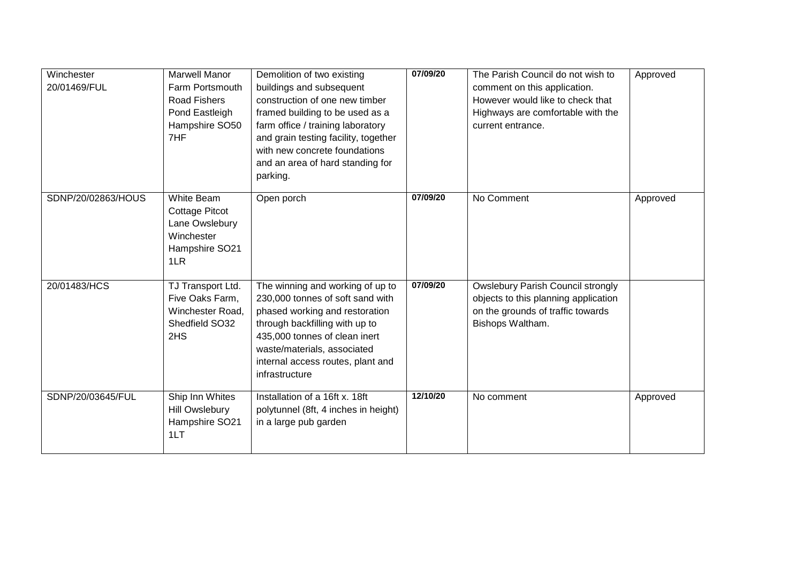| Winchester<br>20/01469/FUL | <b>Marwell Manor</b><br>Farm Portsmouth<br>Road Fishers<br>Pond Eastleigh<br>Hampshire SO50<br>7HF | Demolition of two existing<br>buildings and subsequent<br>construction of one new timber<br>framed building to be used as a<br>farm office / training laboratory<br>and grain testing facility, together<br>with new concrete foundations<br>and an area of hard standing for<br>parking. | 07/09/20 | The Parish Council do not wish to<br>comment on this application.<br>However would like to check that<br>Highways are comfortable with the<br>current entrance. | Approved |
|----------------------------|----------------------------------------------------------------------------------------------------|-------------------------------------------------------------------------------------------------------------------------------------------------------------------------------------------------------------------------------------------------------------------------------------------|----------|-----------------------------------------------------------------------------------------------------------------------------------------------------------------|----------|
| SDNP/20/02863/HOUS         | White Beam<br><b>Cottage Pitcot</b><br>Lane Owslebury<br>Winchester<br>Hampshire SO21<br>1LR       | Open porch                                                                                                                                                                                                                                                                                | 07/09/20 | No Comment                                                                                                                                                      | Approved |
| 20/01483/HCS               | TJ Transport Ltd.<br>Five Oaks Farm,<br>Winchester Road,<br>Shedfield SO32<br>2HS                  | The winning and working of up to<br>230,000 tonnes of soft sand with<br>phased working and restoration<br>through backfilling with up to<br>435,000 tonnes of clean inert<br>waste/materials, associated<br>internal access routes, plant and<br>infrastructure                           | 07/09/20 | <b>Owslebury Parish Council strongly</b><br>objects to this planning application<br>on the grounds of traffic towards<br>Bishops Waltham.                       |          |
| SDNP/20/03645/FUL          | Ship Inn Whites<br><b>Hill Owslebury</b><br>Hampshire SO21<br>1LT                                  | Installation of a 16ft x. 18ft<br>polytunnel (8ft, 4 inches in height)<br>in a large pub garden                                                                                                                                                                                           | 12/10/20 | No comment                                                                                                                                                      | Approved |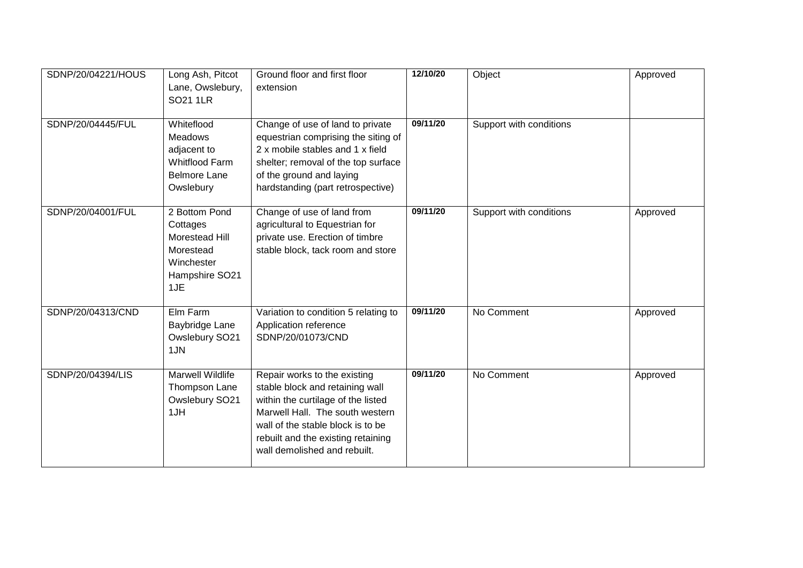| SDNP/20/04221/HOUS | Long Ash, Pitcot<br>Lane, Owslebury,<br><b>SO21 1LR</b>                                                  | Ground floor and first floor<br>extension                                                                                                                                                                                                           | 12/10/20<br>09/11/20 | Object                  | Approved |
|--------------------|----------------------------------------------------------------------------------------------------------|-----------------------------------------------------------------------------------------------------------------------------------------------------------------------------------------------------------------------------------------------------|----------------------|-------------------------|----------|
| SDNP/20/04445/FUL  | Whiteflood<br><b>Meadows</b><br>adjacent to<br><b>Whitflood Farm</b><br><b>Belmore Lane</b><br>Owslebury | Change of use of land to private<br>equestrian comprising the siting of<br>2 x mobile stables and 1 x field<br>shelter; removal of the top surface<br>of the ground and laying<br>hardstanding (part retrospective)                                 |                      | Support with conditions |          |
| SDNP/20/04001/FUL  | 2 Bottom Pond<br>Cottages<br>Morestead Hill<br>Morestead<br>Winchester<br>Hampshire SO21<br>1JE          | Change of use of land from<br>agricultural to Equestrian for<br>private use. Erection of timbre<br>stable block, tack room and store                                                                                                                | 09/11/20             | Support with conditions | Approved |
| SDNP/20/04313/CND  | Elm Farm<br>Baybridge Lane<br>Owslebury SO21<br>1JN                                                      | Variation to condition 5 relating to<br>Application reference<br>SDNP/20/01073/CND                                                                                                                                                                  | 09/11/20             | No Comment              | Approved |
| SDNP/20/04394/LIS  | <b>Marwell Wildlife</b><br>Thompson Lane<br>Owslebury SO21<br>1JH                                        | Repair works to the existing<br>stable block and retaining wall<br>within the curtilage of the listed<br>Marwell Hall. The south western<br>wall of the stable block is to be<br>rebuilt and the existing retaining<br>wall demolished and rebuilt. | 09/11/20             | No Comment              | Approved |